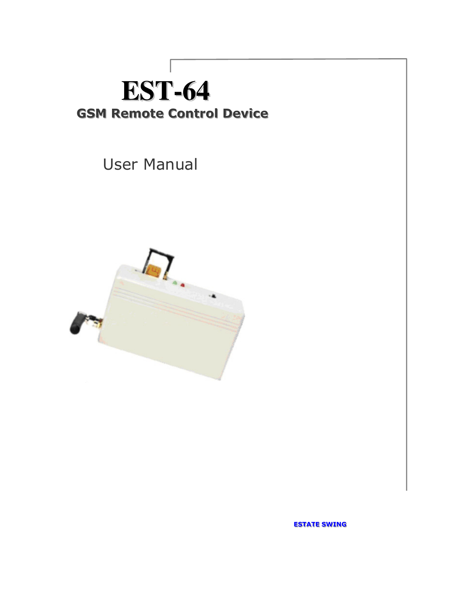# **EST-64 GSM Remote Control Device**

User Manual



ESTATE SWING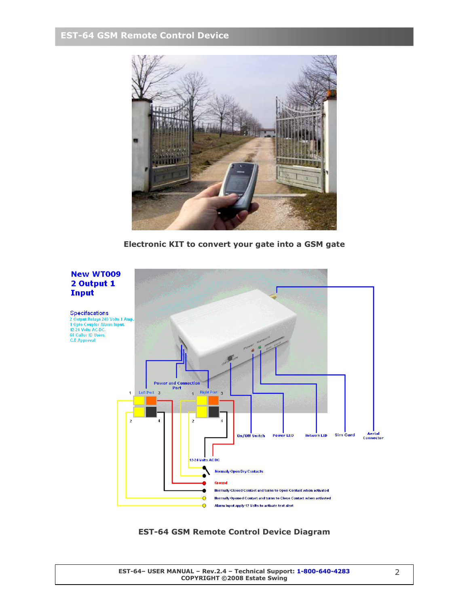# EST-64 GSM Remote Control Device



Electronic KIT to convert your gate into a GSM gate



EST-64 GSM Remote Control Device Diagram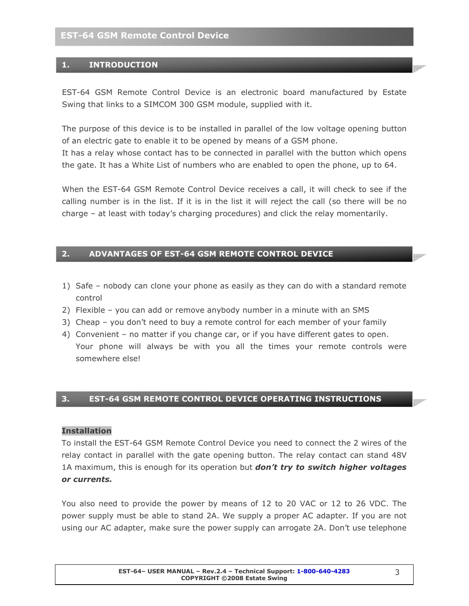# 1. INTRODUCTION

EST-64 GSM Remote Control Device is an electronic board manufactured by Estate Swing that links to a SIMCOM 300 GSM module, supplied with it.

The purpose of this device is to be installed in parallel of the low voltage opening button of an electric gate to enable it to be opened by means of a GSM phone.

It has a relay whose contact has to be connected in parallel with the button which opens the gate. It has a White List of numbers who are enabled to open the phone, up to 64.

When the EST-64 GSM Remote Control Device receives a call, it will check to see if the calling number is in the list. If it is in the list it will reject the call (so there will be no charge – at least with today's charging procedures) and click the relay momentarily.

# 2. ADVANTAGES OF EST-64 GSM REMOTE CONTROL DEVICE

- 1) Safe nobody can clone your phone as easily as they can do with a standard remote control
- 2) Flexible you can add or remove anybody number in a minute with an SMS
- 3) Cheap you don't need to buy a remote control for each member of your family
- 4) Convenient no matter if you change car, or if you have different gates to open. Your phone will always be with you all the times your remote controls were somewhere else!

# 3. EST-64 GSM REMOTE CONTROL DEVICE OPERATING INSTRUCTIONS

#### Installation

To install the EST-64 GSM Remote Control Device you need to connect the 2 wires of the relay contact in parallel with the gate opening button. The relay contact can stand 48V 1A maximum, this is enough for its operation but **don't try to switch higher voltages** or currents.

You also need to provide the power by means of 12 to 20 VAC or 12 to 26 VDC. The power supply must be able to stand 2A. We supply a proper AC adapter. If you are not using our AC adapter, make sure the power supply can arrogate 2A. Don't use telephone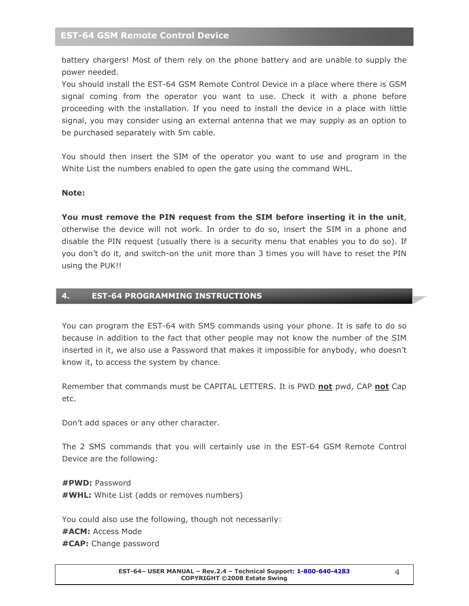battery chargers! Most of them rely on the phone battery and are unable to supply the power needed.

You should install the EST-64 GSM Remote Control Device in a place where there is GSM signal coming from the operator you want to use. Check it with a phone before proceeding with the installation. If you need to install the device in a place with little signal, you may consider using an external antenna that we may supply as an option to be purchased separately with 5m cable.

You should then insert the SIM of the operator you want to use and program in the White List the numbers enabled to open the gate using the command WHL.

#### Note:

You must remove the PIN request from the SIM before inserting it in the unit, otherwise the device will not work. In order to do so, insert the SIM in a phone and disable the PIN request (usually there is a security menu that enables you to do so). If you don't do it, and switch-on the unit more than 3 times you will have to reset the PIN using the PUK!!

#### 4. EST-64 PROGRAMMING INSTRUCTIONS

You can program the EST-64 with SMS commands using your phone. It is safe to do so because in addition to the fact that other people may not know the number of the SIM inserted in it, we also use a Password that makes it impossible for anybody, who doesn't know it, to access the system by chance.

Remember that commands must be CAPITAL LETTERS. It is PWD not pwd, CAP not Cap etc.

Don't add spaces or any other character.

The 2 SMS commands that you will certainly use in the EST-64 GSM Remote Control Device are the following:

#PWD: Password #WHL: White List (adds or removes numbers)

You could also use the following, though not necessarily: #ACM: Access Mode #CAP: Change password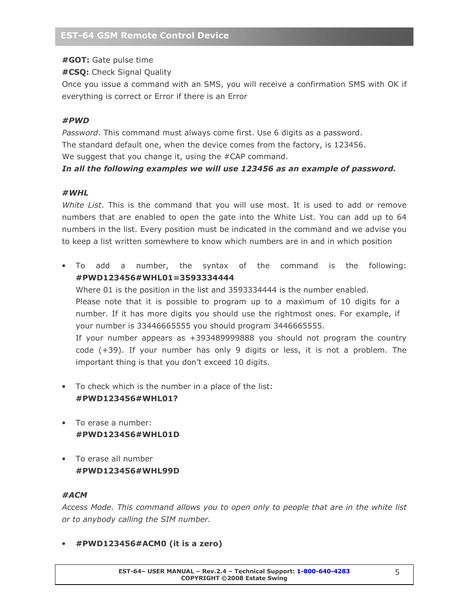#GOT: Gate pulse time

#CSQ: Check Signal Quality

Once you issue a command with an SMS, you will receive a confirmation SMS with OK if everything is correct or Error if there is an Error

# #PWD

Password. This command must always come first. Use 6 digits as a password. The standard default one, when the device comes from the factory, is 123456. We suggest that you change it, using the #CAP command.

# In all the following examples we will use 123456 as an example of password.

#### #WHL

White List. This is the command that you will use most. It is used to add or remove numbers that are enabled to open the gate into the White List. You can add up to 64 numbers in the list. Every position must be indicated in the command and we advise you to keep a list written somewhere to know which numbers are in and in which position

- To add a number, the syntax of the command is the following: #PWD123456#WHL01=3593334444 Where 01 is the position in the list and 3593334444 is the number enabled. Please note that it is possible to program up to a maximum of 10 digits for a number. If it has more digits you should use the rightmost ones. For example, if your number is 33446665555 you should program 3446665555. If your number appears as +393489999888 you should not program the country code (+39). If your number has only 9 digits or less, it is not a problem. The important thing is that you don't exceed 10 digits.
- To check which is the number in a place of the list: #PWD123456#WHL01?
- To erase a number: #PWD123456#WHL01D
- To erase all number #PWD123456#WHL99D

# #ACM

Access Mode. This command allows you to open only to people that are in the white list or to anybody calling the SIM number.

• #PWD123456#ACM0 (it is a zero)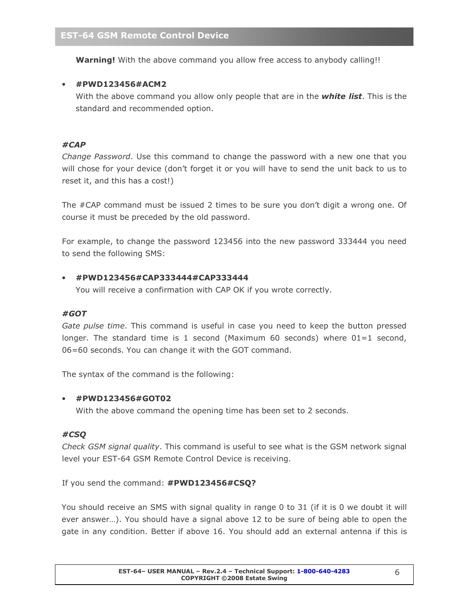Warning! With the above command you allow free access to anybody calling!!

# • #PWD123456#ACM2

With the above command you allow only people that are in the **white list**. This is the standard and recommended option.

#### #CAP

Change Password. Use this command to change the password with a new one that you will chose for your device (don't forget it or you will have to send the unit back to us to reset it, and this has a cost!)

The #CAP command must be issued 2 times to be sure you don't digit a wrong one. Of course it must be preceded by the old password.

For example, to change the password 123456 into the new password 333444 you need to send the following SMS:

#### • #PWD123456#CAP333444#CAP333444

You will receive a confirmation with CAP OK if you wrote correctly.

#### #GOT

Gate pulse time. This command is useful in case you need to keep the button pressed longer. The standard time is 1 second (Maximum 60 seconds) where  $01=1$  second, 06=60 seconds. You can change it with the GOT command.

The syntax of the command is the following:

#### • #PWD123456#GOT02

With the above command the opening time has been set to 2 seconds.

#### #CSQ

Check GSM signal quality. This command is useful to see what is the GSM network signal level your EST-64 GSM Remote Control Device is receiving.

If you send the command: #PWD123456#CSQ?

You should receive an SMS with signal quality in range 0 to 31 (if it is 0 we doubt it will ever answer…). You should have a signal above 12 to be sure of being able to open the gate in any condition. Better if above 16. You should add an external antenna if this is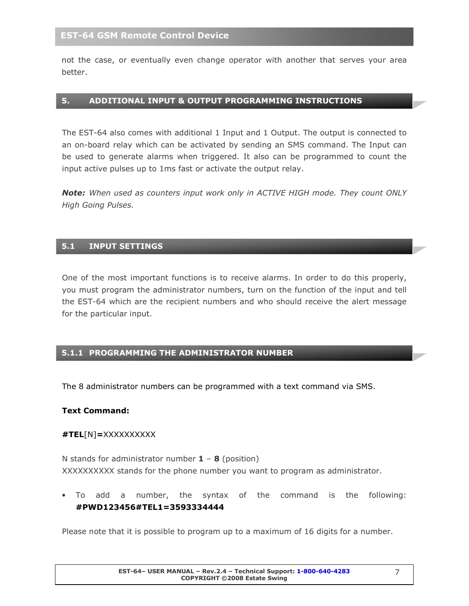not the case, or eventually even change operator with another that serves your area better.

#### 5. ADDITIONAL INPUT & OUTPUT PROGRAMMING INSTRUCTIONS

The EST-64 also comes with additional 1 Input and 1 Output. The output is connected to an on-board relay which can be activated by sending an SMS command. The Input can be used to generate alarms when triggered. It also can be programmed to count the input active pulses up to 1ms fast or activate the output relay.

Note: When used as counters input work only in ACTIVE HIGH mode. They count ONLY High Going Pulses.

#### 5.1 INPUT SETTINGS

One of the most important functions is to receive alarms. In order to do this properly, you must program the administrator numbers, turn on the function of the input and tell the EST-64 which are the recipient numbers and who should receive the alert message for the particular input.

#### 5.1.1 PROGRAMMING THE ADMINISTRATOR NUMBER

The 8 administrator numbers can be programmed with a text command via SMS.

#### Text Command:

#### #TEL[N]=XXXXXXXXXX

N stands for administrator number  $1 - 8$  (position) XXXXXXXXXX stands for the phone number you want to program as administrator.

• To add a number, the syntax of the command is the following: #PWD123456#TEL1=3593334444

Please note that it is possible to program up to a maximum of 16 digits for a number.

**Mar**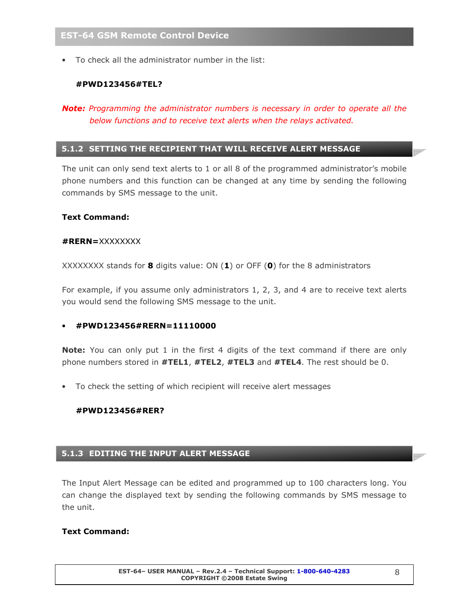• To check all the administrator number in the list:

# #PWD123456#TEL?

# Note: Programming the administrator numbers is necessary in order to operate all the below functions and to receive text alerts when the relays activated.

# 5.1.2 SETTING THE RECIPIENT THAT WILL RECEIVE ALERT MESSAGE

The unit can only send text alerts to 1 or all 8 of the programmed administrator's mobile phone numbers and this function can be changed at any time by sending the following commands by SMS message to the unit.

#### Text Command:

#### #RERN=XXXXXXXX

XXXXXXXX stands for **8** digits value: ON  $(1)$  or OFF  $(0)$  for the 8 administrators

For example, if you assume only administrators 1, 2, 3, and 4 are to receive text alerts you would send the following SMS message to the unit.

# • #PWD123456#RERN=11110000

**Note:** You can only put 1 in the first 4 digits of the text command if there are only phone numbers stored in #TEL1, #TEL2, #TEL3 and #TEL4. The rest should be 0.

To check the setting of which recipient will receive alert messages

#### #PWD123456#RER?

#### 5.1.3 EDITING THE INPUT ALERT MESSAGE

The Input Alert Message can be edited and programmed up to 100 characters long. You can change the displayed text by sending the following commands by SMS message to the unit.

#### Text Command: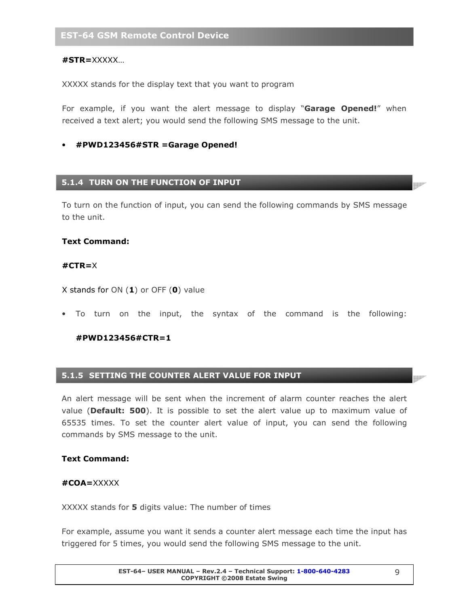#### #STR=XXXXX…

XXXXX stands for the display text that you want to program

For example, if you want the alert message to display "Garage Opened!" when received a text alert; you would send the following SMS message to the unit.

#### • #PWD123456#STR =Garage Opened!

#### 5.1.4 TURN ON THE FUNCTION OF INPUT

To turn on the function of input, you can send the following commands by SMS message to the unit.

#### Text Command:

#### #CTR=X

X stands for ON  $(1)$  or OFF  $(0)$  value

• To turn on the input, the syntax of the command is the following:

#### #PWD123456#CTR=1

#### 5.1.5 SETTING THE COUNTER ALERT VALUE FOR INPUT

An alert message will be sent when the increment of alarm counter reaches the alert value (Default: 500). It is possible to set the alert value up to maximum value of 65535 times. To set the counter alert value of input, you can send the following commands by SMS message to the unit.

#### Text Command:

#### #COA=XXXXX

XXXXX stands for 5 digits value: The number of times

For example, assume you want it sends a counter alert message each time the input has triggered for 5 times, you would send the following SMS message to the unit.

p

**MAR**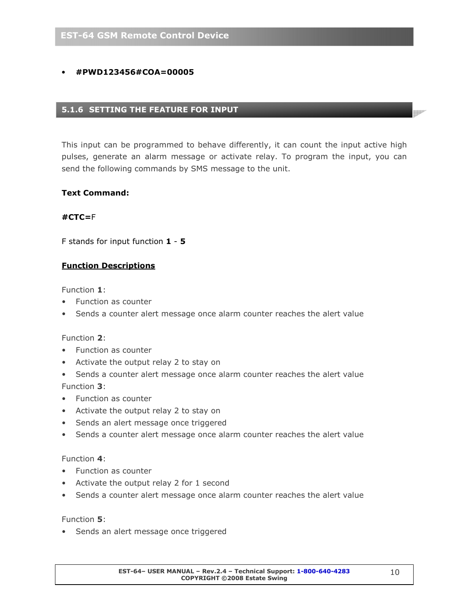# • #PWD123456#COA=00005

# 5.1.6 SETTING THE FEATURE FOR INPUT

This input can be programmed to behave differently, it can count the input active high pulses, generate an alarm message or activate relay. To program the input, you can send the following commands by SMS message to the unit.

#### Text Command:

#### #CTC=F

F stands for input function 1 - 5

#### Function Descriptions

Function 1:

- Function as counter
- Sends a counter alert message once alarm counter reaches the alert value

#### Function 2:

- Function as counter
- Activate the output relay 2 to stay on
- Sends a counter alert message once alarm counter reaches the alert value Function 3:
- Function as counter
- Activate the output relay 2 to stay on
- Sends an alert message once triggered
- Sends a counter alert message once alarm counter reaches the alert value

#### Function 4:

- Function as counter
- Activate the output relay 2 for 1 second
- Sends a counter alert message once alarm counter reaches the alert value

#### Function 5:

• Sends an alert message once triggered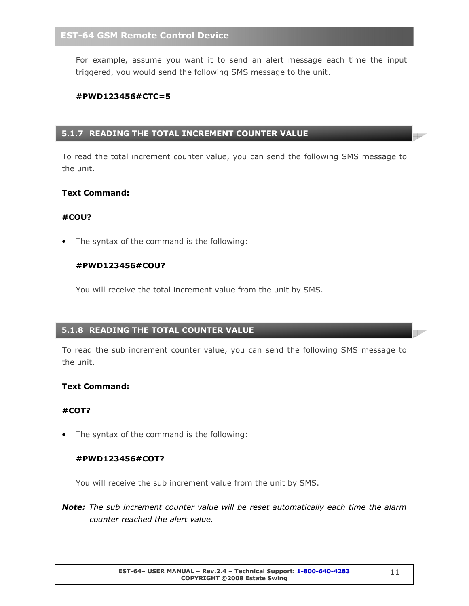For example, assume you want it to send an alert message each time the input triggered, you would send the following SMS message to the unit.

#### #PWD123456#CTC=5

# 5.1.7 READING THE TOTAL INCREMENT COUNTER VALUE

To read the total increment counter value, you can send the following SMS message to the unit.

#### Text Command:

#### #COU?

The syntax of the command is the following:

#### #PWD123456#COU?

You will receive the total increment value from the unit by SMS.

# 5.1.8 READING THE TOTAL COUNTER VALUE

To read the sub increment counter value, you can send the following SMS message to the unit.

#### Text Command:

#### #COT?

• The syntax of the command is the following:

#### #PWD123456#COT?

You will receive the sub increment value from the unit by SMS.

Note: The sub increment counter value will be reset automatically each time the alarm counter reached the alert value.

**INDIA**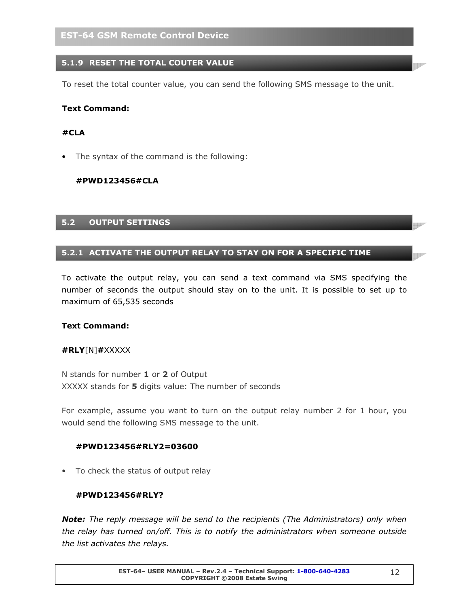# 5.1.9 RESET THE TOTAL COUTER VALUE

To reset the total counter value, you can send the following SMS message to the unit.

#### Text Command:

#### #CLA

• The syntax of the command is the following:

#### #PWD123456#CLA

#### 5.2 OUTPUT SETTINGS

#### 5.2.1 ACTIVATE THE OUTPUT RELAY TO STAY ON FOR A SPECIFIC TIME

To activate the output relay, you can send a text command via SMS specifying the number of seconds the output should stay on to the unit. It is possible to set up to maximum of 65,535 seconds

#### Text Command:

#### #RLY[N]#XXXXX

N stands for number 1 or 2 of Output XXXXX stands for 5 digits value: The number of seconds

For example, assume you want to turn on the output relay number 2 for 1 hour, you would send the following SMS message to the unit.

#### #PWD123456#RLY2=03600

• To check the status of output relay

#### #PWD123456#RLY?

Note: The reply message will be send to the recipients (The Administrators) only when the relay has turned on/off. This is to notify the administrators when someone outside the list activates the relays.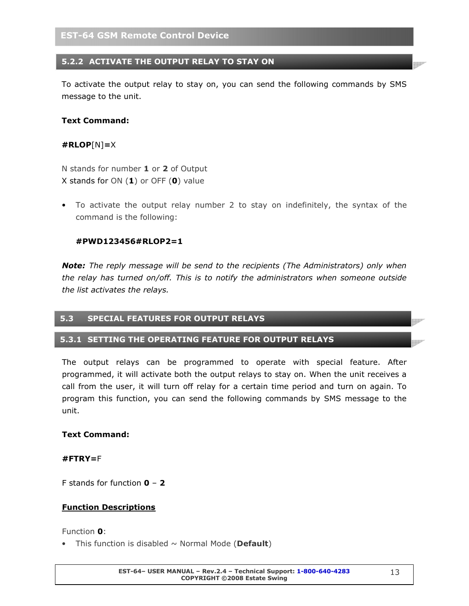# 5.2.2 ACTIVATE THE OUTPUT RELAY TO STAY ON

To activate the output relay to stay on, you can send the following commands by SMS message to the unit.

#### Text Command:

#### #RLOP[N]=X

N stands for number 1 or 2 of Output X stands for ON  $(1)$  or OFF  $(0)$  value

• To activate the output relay number 2 to stay on indefinitely, the syntax of the command is the following:

#### #PWD123456#RLOP2=1

**Note:** The reply message will be send to the recipients (The Administrators) only when the relay has turned on/off. This is to notify the administrators when someone outside the list activates the relays.

#### 5.3 SPECIAL FEATURES FOR OUTPUT RELAYS

#### 5.3.1 SETTING THE OPERATING FEATURE FOR OUTPUT RELAYS

The output relays can be programmed to operate with special feature. After programmed, it will activate both the output relays to stay on. When the unit receives a call from the user, it will turn off relay for a certain time period and turn on again. To program this function, you can send the following commands by SMS message to the unit.

#### Text Command:

#### #FTRY=F

F stands for function  $0 - 2$ 

#### Function Descriptions

Function 0:

• This function is disabled  $\sim$  Normal Mode (Default)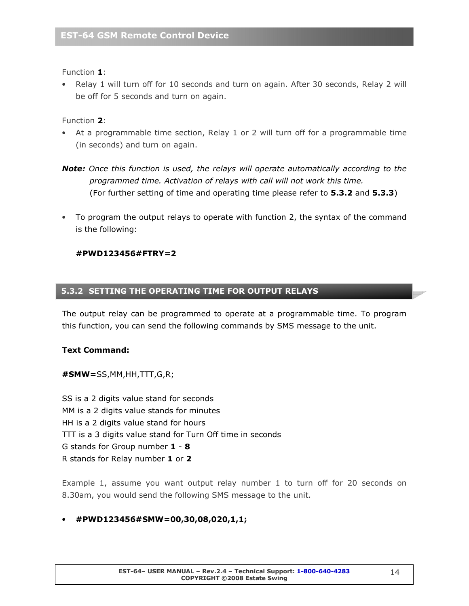Function 1:

• Relay 1 will turn off for 10 seconds and turn on again. After 30 seconds, Relay 2 will be off for 5 seconds and turn on again.

Function 2:

- At a programmable time section, Relay 1 or 2 will turn off for a programmable time (in seconds) and turn on again.
- **Note:** Once this function is used, the relays will operate automatically according to the programmed time. Activation of relays with call will not work this time. (For further setting of time and operating time please refer to 5.3.2 and 5.3.3)
- To program the output relays to operate with function 2, the syntax of the command is the following:

#PWD123456#FTRY=2

# 5.3.2 SETTING THE OPERATING TIME FOR OUTPUT RELAYS

The output relay can be programmed to operate at a programmable time. To program this function, you can send the following commands by SMS message to the unit.

#### Text Command:

#SMW=SS,MM,HH,TTT,G,R;

SS is a 2 digits value stand for seconds MM is a 2 digits value stands for minutes HH is a 2 digits value stand for hours TTT is a 3 digits value stand for Turn Off time in seconds G stands for Group number 1 - 8 R stands for Relay number 1 or 2

Example 1, assume you want output relay number 1 to turn off for 20 seconds on 8.30am, you would send the following SMS message to the unit.

# • #PWD123456#SMW=00,30,08,020,1,1;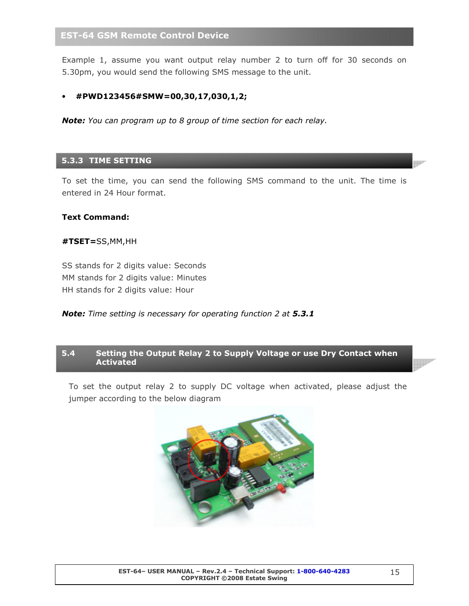# EST-64 GSM Remote Control Device

Example 1, assume you want output relay number 2 to turn off for 30 seconds on 5.30pm, you would send the following SMS message to the unit.

#### • #PWD123456#SMW=00,30,17,030,1,2;

**Note:** You can program up to 8 group of time section for each relay.

#### 5.3.3 TIME SETTING

To set the time, you can send the following SMS command to the unit. The time is entered in 24 Hour format.

#### Text Command:

#### #TSET=SS,MM,HH

SS stands for 2 digits value: Seconds MM stands for 2 digits value: Minutes HH stands for 2 digits value: Hour

#### Note: Time setting is necessary for operating function 2 at 5.3.1

#### 5.4 Setting the Output Relay 2 to Supply Voltage or use Dry Contact when Activated

To set the output relay 2 to supply DC voltage when activated, please adjust the jumper according to the below diagram



<u>Martin D</u>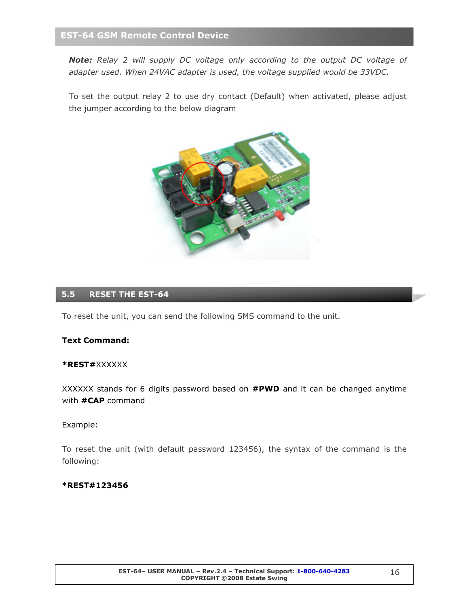# EST-64 GSM Remote Control Device

Note: Relay 2 will supply DC voltage only according to the output DC voltage of adapter used. When 24VAC adapter is used, the voltage supplied would be 33VDC.

To set the output relay 2 to use dry contact (Default) when activated, please adjust the jumper according to the below diagram



# 5.5 RESET THE EST-64

To reset the unit, you can send the following SMS command to the unit.

#### Text Command:

#### \*REST#XXXXXX

XXXXXX stands for 6 digits password based on **#PWD** and it can be changed anytime with **#CAP** command

#### Example:

To reset the unit (with default password 123456), the syntax of the command is the following:

#### \*REST#123456